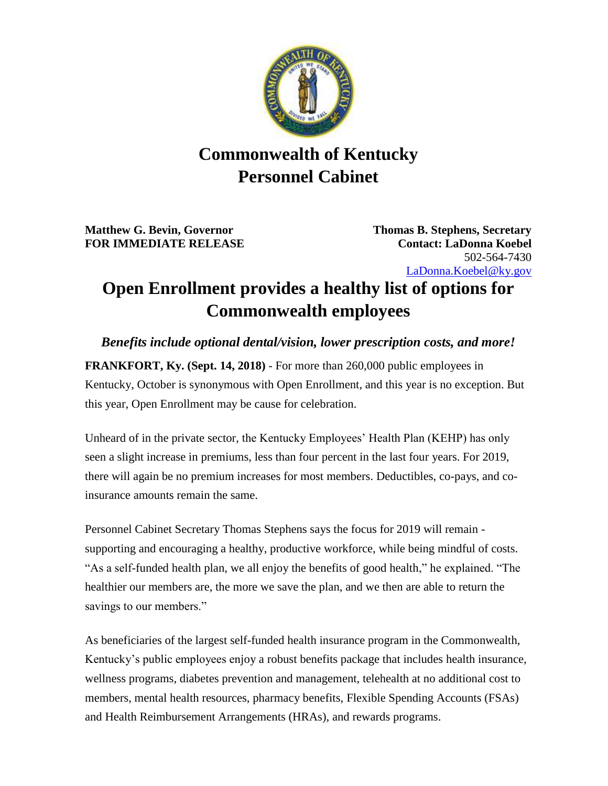

## **Commonwealth of Kentucky Personnel Cabinet**

**Matthew G. Bevin, Governor Thomas B. Stephens, Secretary FOR IMMEDIATE RELEASE Contact: LaDonna Koebel**

502-564-7430 [LaDonna.Koebel@ky.gov](mailto:LaDonna.Koebel.ky.gov)

## **Open Enrollment provides a healthy list of options for Commonwealth employees**

*Benefits include optional dental/vision, lower prescription costs, and more!* **FRANKFORT, Ky. (Sept. 14, 2018)** - For more than 260,000 public employees in Kentucky, October is synonymous with Open Enrollment, and this year is no exception. But this year, Open Enrollment may be cause for celebration.

Unheard of in the private sector, the Kentucky Employees' Health Plan (KEHP) has only seen a slight increase in premiums, less than four percent in the last four years. For 2019, there will again be no premium increases for most members. Deductibles, co-pays, and coinsurance amounts remain the same.

Personnel Cabinet Secretary Thomas Stephens says the focus for 2019 will remain supporting and encouraging a healthy, productive workforce, while being mindful of costs. "As a self-funded health plan, we all enjoy the benefits of good health," he explained. "The healthier our members are, the more we save the plan, and we then are able to return the savings to our members."

As beneficiaries of the largest self-funded health insurance program in the Commonwealth, Kentucky's public employees enjoy a robust benefits package that includes health insurance, wellness programs, diabetes prevention and management, telehealth at no additional cost to members, mental health resources, pharmacy benefits, Flexible Spending Accounts (FSAs) and Health Reimbursement Arrangements (HRAs), and rewards programs.